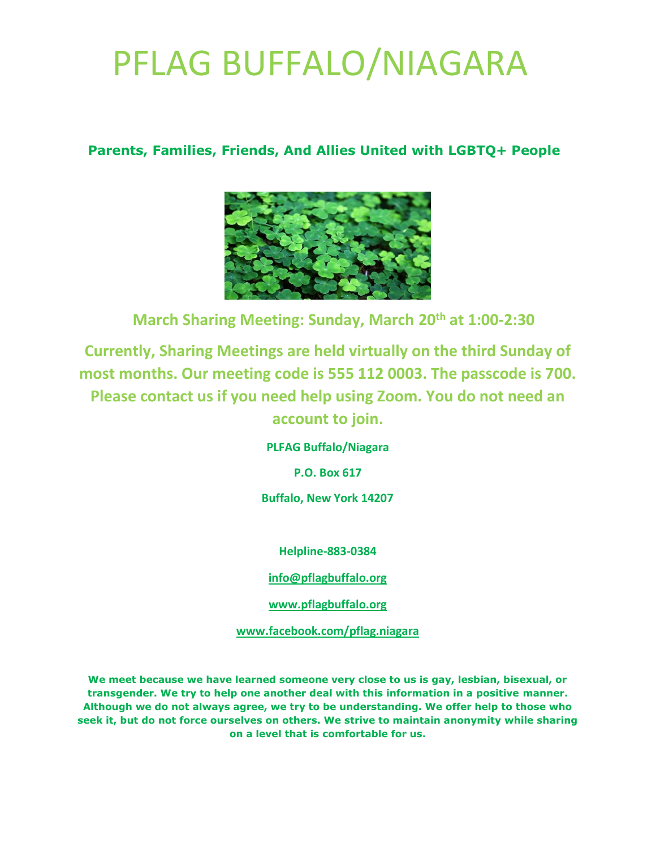### **Parents, Families, Friends, And Allies United with LGBTQ+ People**



 **March Sharing Meeting: Sunday, March 20th at 1:00-2:30**

**Currently, Sharing Meetings are held virtually on the third Sunday of most months. Our meeting code is 555 112 0003. The passcode is 700. Please contact us if you need help using Zoom. You do not need an account to join.** 

**PLFAG Buffalo/Niagara**

**P.O. Box 617**

**Buffalo, New York 14207**

**Helpline-883-0384**

**[info@pflagbuffalo.org](mailto:info@pflagbuffalo.org)**

**[www.pflagbuffalo.org](http://www.pflagbuffalo.org/)**

**[www.facebook.com/pflag.niagara](http://www.facebook.com/pflag.niagara)**

**We meet because we have learned someone very close to us is gay, lesbian, bisexual, or transgender. We try to help one another deal with this information in a positive manner. Although we do not always agree, we try to be understanding. We offer help to those who seek it, but do not force ourselves on others. We strive to maintain anonymity while sharing on a level that is comfortable for us.**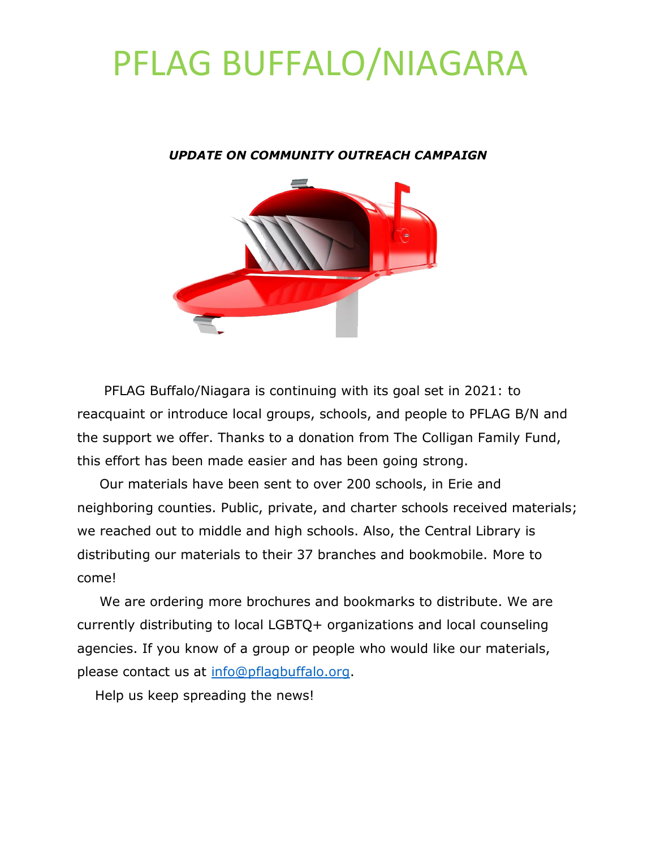#### *UPDATE ON COMMUNITY OUTREACH CAMPAIGN*



 PFLAG Buffalo/Niagara is continuing with its goal set in 2021: to reacquaint or introduce local groups, schools, and people to PFLAG B/N and the support we offer. Thanks to a donation from The Colligan Family Fund, this effort has been made easier and has been going strong.

 Our materials have been sent to over 200 schools, in Erie and neighboring counties. Public, private, and charter schools received materials; we reached out to middle and high schools. Also, the Central Library is distributing our materials to their 37 branches and bookmobile. More to come!

 We are ordering more brochures and bookmarks to distribute. We are currently distributing to local LGBTQ+ organizations and local counseling agencies. If you know of a group or people who would like our materials, please contact us at [info@pflagbuffalo.org.](mailto:info@pflagbuffalo.org)

Help us keep spreading the news!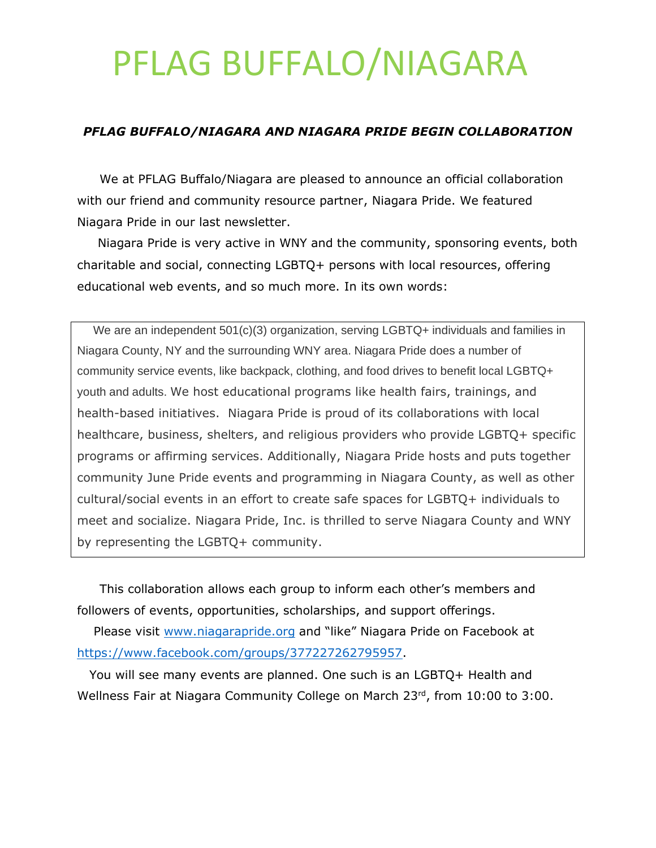#### *PFLAG BUFFALO/NIAGARA AND NIAGARA PRIDE BEGIN COLLABORATION*

 We at PFLAG Buffalo/Niagara are pleased to announce an official collaboration with our friend and community resource partner, Niagara Pride. We featured Niagara Pride in our last newsletter.

 Niagara Pride is very active in WNY and the community, sponsoring events, both charitable and social, connecting LGBTQ+ persons with local resources, offering educational web events, and so much more. In its own words:

We are an independent 501(c)(3) organization, serving LGBTQ+ individuals and families in Niagara County, NY and the surrounding WNY area. Niagara Pride does a number of community service events, like backpack, clothing, and food drives to benefit local LGBTQ+ youth and adults. We host educational programs like health fairs, trainings, and health-based initiatives. Niagara Pride is proud of its collaborations with local healthcare, business, shelters, and religious providers who provide LGBTQ+ specific programs or affirming services. Additionally, Niagara Pride hosts and puts together community June Pride events and programming in Niagara County, as well as other cultural/social events in an effort to create safe spaces for LGBTQ+ individuals to meet and socialize. Niagara Pride, Inc. is thrilled to serve Niagara County and WNY by representing the LGBTQ+ community.

 This collaboration allows each group to inform each other's members and followers of events, opportunities, scholarships, and support offerings.

 Please visit [www.niagarapride.org](http://www.niagarapride.org/) and "like" Niagara Pride on Facebook at [https://www.facebook.com/groups/377227262795957.](https://www.facebook.com/groups/377227262795957)

 You will see many events are planned. One such is an LGBTQ+ Health and Wellness Fair at Niagara Community College on March 23rd, from 10:00 to 3:00.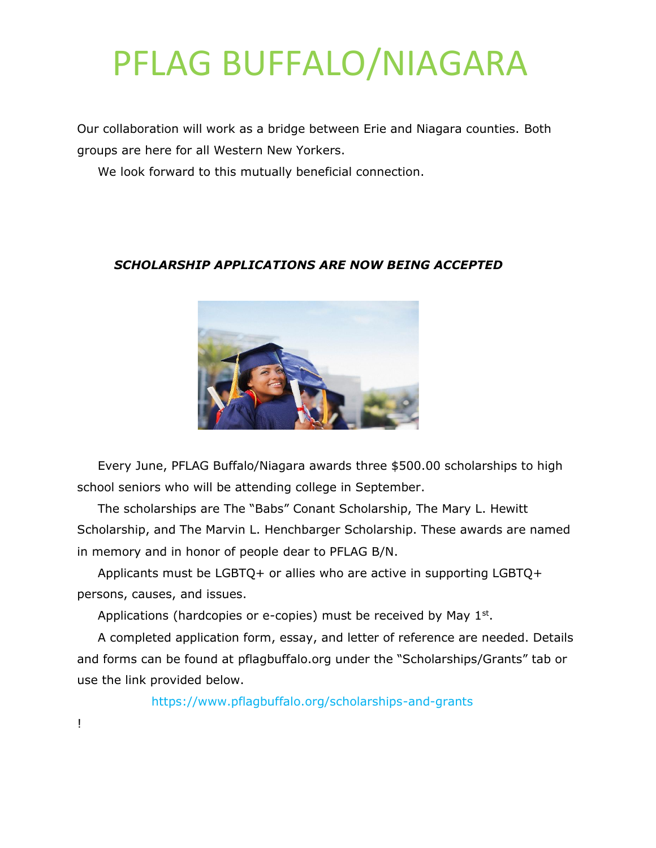Our collaboration will work as a bridge between Erie and Niagara counties. Both groups are here for all Western New Yorkers.

We look forward to this mutually beneficial connection.

#### *SCHOLARSHIP APPLICATIONS ARE NOW BEING ACCEPTED*



 Every June, PFLAG Buffalo/Niagara awards three \$500.00 scholarships to high school seniors who will be attending college in September.

 The scholarships are The "Babs" Conant Scholarship, The Mary L. Hewitt Scholarship, and The Marvin L. Henchbarger Scholarship. These awards are named in memory and in honor of people dear to PFLAG B/N.

 Applicants must be LGBTQ+ or allies who are active in supporting LGBTQ+ persons, causes, and issues.

Applications (hardcopies or e-copies) must be received by May  $1<sup>st</sup>$ .

 A completed application form, essay, and letter of reference are needed. Details and forms can be found at pflagbuffalo.org under the "Scholarships/Grants" tab or use the link provided below.

https://www.pflagbuffalo.org/scholarships-and-grants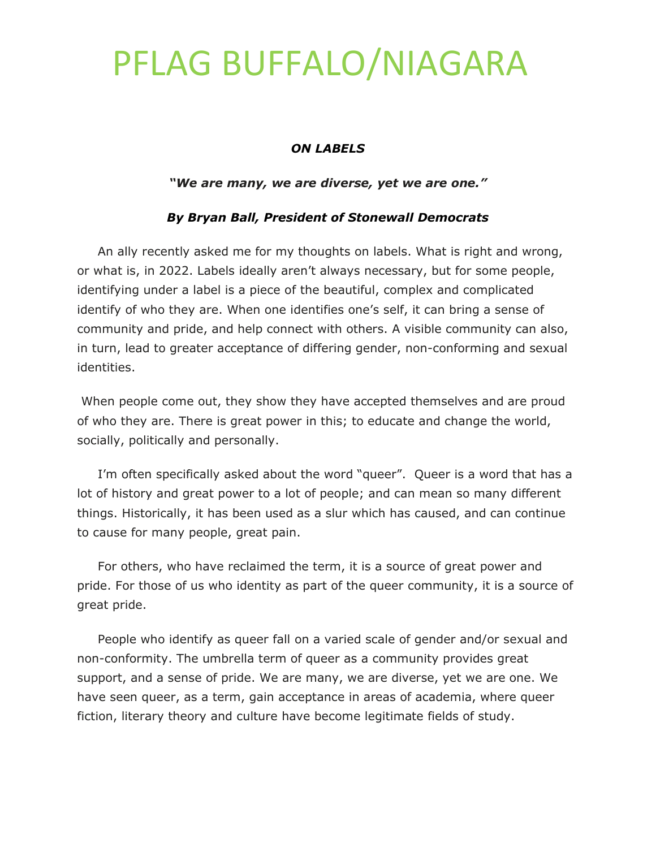#### *ON LABELS*

#### *"We are many, we are diverse, yet we are one."*

#### *By Bryan Ball, President of Stonewall Democrats*

 An ally recently asked me for my thoughts on labels. What is right and wrong, or what is, in 2022. Labels ideally aren't always necessary, but for some people, identifying under a label is a piece of the beautiful, complex and complicated identify of who they are. When one identifies one's self, it can bring a sense of community and pride, and help connect with others. A visible community can also, in turn, lead to greater acceptance of differing gender, non-conforming and sexual identities.

When people come out, they show they have accepted themselves and are proud of who they are. There is great power in this; to educate and change the world, socially, politically and personally.

 I'm often specifically asked about the word "queer". Queer is a word that has a lot of history and great power to a lot of people; and can mean so many different things. Historically, it has been used as a slur which has caused, and can continue to cause for many people, great pain.

 For others, who have reclaimed the term, it is a source of great power and pride. For those of us who identity as part of the queer community, it is a source of great pride.

 People who identify as queer fall on a varied scale of gender and/or sexual and non-conformity. The umbrella term of queer as a community provides great support, and a sense of pride. We are many, we are diverse, yet we are one. We have seen queer, as a term, gain acceptance in areas of academia, where queer fiction, literary theory and culture have become legitimate fields of study.